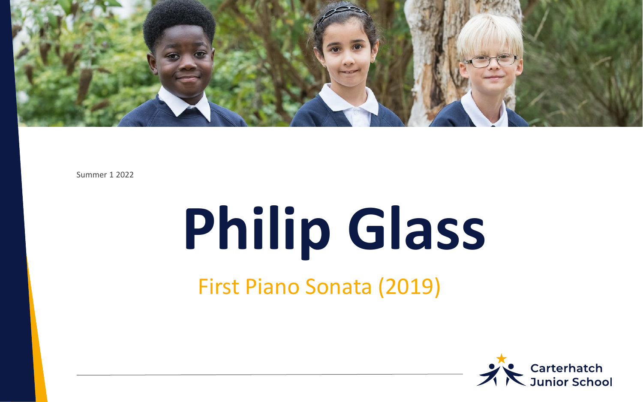

Summer 1 2022

# **Philip Glass**  First Piano Sonata (2019)

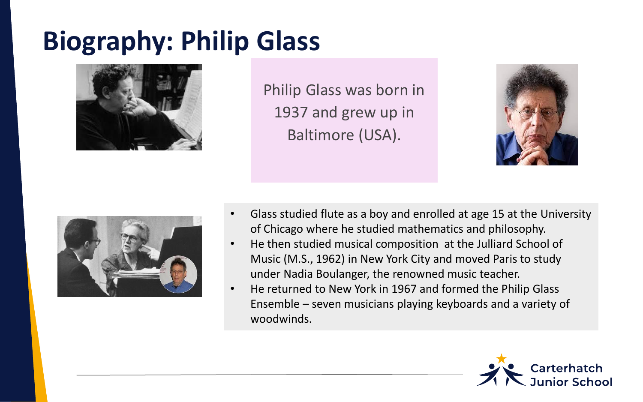## **Biography: Philip Glass**



Philip Glass was born in 1937 and grew up in Baltimore (USA).





- Glass studied flute as a boy and enrolled at age 15 at the University of Chicago where he studied mathematics and philosophy.
- He then studied musical composition at the Julliard School of Music (M.S., 1962) in New York City and moved Paris to study under Nadia Boulanger, the renowned music teacher.
- He returned to New York in 1967 and formed the Philip Glass Ensemble – seven musicians playing keyboards and a variety of woodwinds.

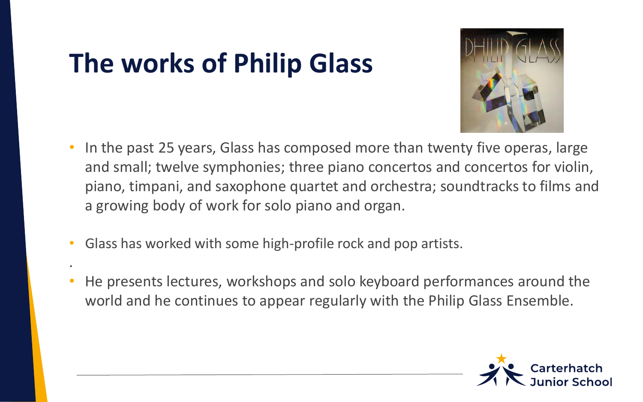## **The works of Philip Glass**

.



- In the past 25 years, Glass has composed more than twenty five operas, large and small; twelve symphonies; three piano concertos and concertos for violin, piano, timpani, and saxophone quartet and orchestra; soundtracks to films and a growing body of work for solo piano and organ.
- Glass has worked with some high-profile rock and pop artists.
- He presents lectures, workshops and solo keyboard performances around the world and he continues to appear regularly with the Philip Glass Ensemble.

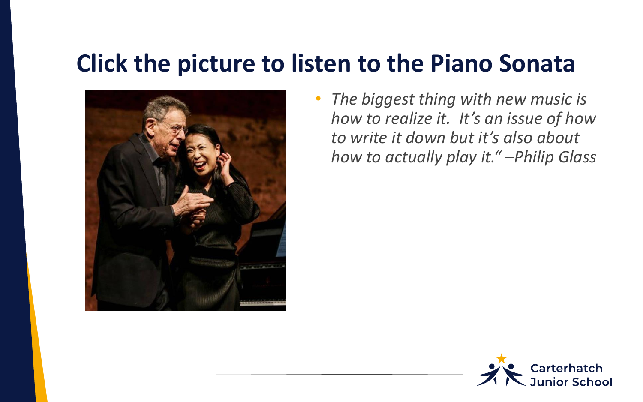#### **Click the picture to listen to the Piano Sonata**



• *The biggest thing with new music is how to realize it. It's an issue of how to write it down but it's also about how to actually play it." –Philip Glass*

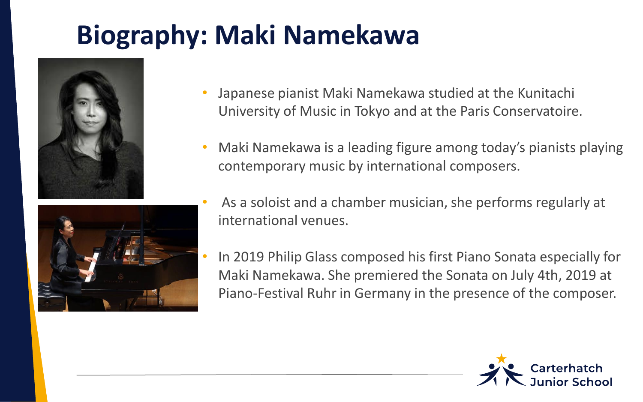# **Biography: Maki Namekawa**





- Japanese pianist Maki Namekawa studied at the Kunitachi University of Music in Tokyo and at the Paris Conservatoire.
- Maki Namekawa is a leading figure among today's pianists playing contemporary music by international composers.
- As a soloist and a chamber musician, she performs regularly at international venues.
	- In 2019 Philip Glass composed his first Piano Sonata especially for Maki Namekawa. She premiered the Sonata on July 4th, 2019 at Piano-Festival Ruhr in Germany in the presence of the composer.

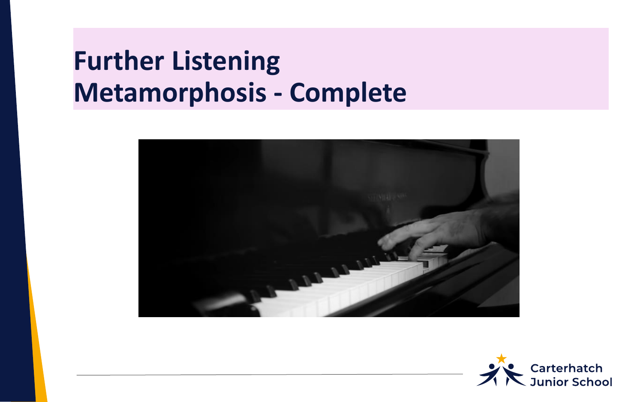## **Further Listening Metamorphosis - Complete**